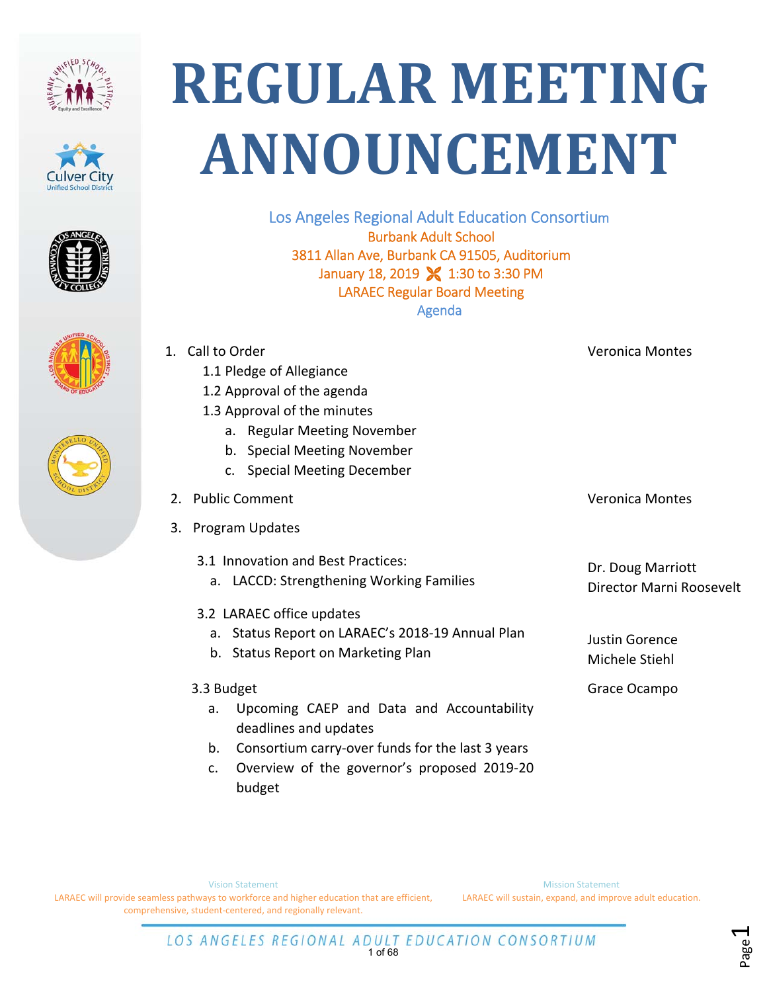









Los Angeles Regional Adult Education Consortium Burbank Adult School 3811 Allan Ave, Burbank CA 91505, Auditorium January 18, 2019 **X** 1:30 to 3:30 PM LARAEC Regular Board Meeting Agenda

|           | Pledge of Allegiance        |                        |
|-----------|-----------------------------|------------------------|
|           | Approval of the agenda      |                        |
|           | Approval of the minutes     |                        |
|           | a. Regular Meeting November |                        |
|           | b. Special Meeting November |                        |
|           | c. Special Meeting December |                        |
| c Comment |                             | <b>Veronica Montes</b> |
|           | am Updates                  |                        |
|           |                             |                        |

- 3.1 Innovation and Best Practices:
	- a. LACCD: Strengthening Working Families
- 3.2 LARAEC office updates

1.1 Pledge of Allegiance 1.2 Approval of the agenda 1.3 Approval of the minutes

- a. Status Report on LARAEC's 2018‐19 Annual Plan
- b. Status Report on Marketing Plan

## 3.3 Budget

2. Public Comment

3. Program Updates

1. Call to Order

- a. Upcoming CAEP and Data and Accountability deadlines and updates
- b. Consortium carry‐over funds for the last 3 years
- c. Overview of the governor's proposed 2019‐20 budget

Director Marni Roosevelt

Page1

Justin Gorence Michele Stiehl

Dr. Doug Marriott

Veronica Montes

Grace Ocampo

Vision Statement LARAEC will provide seamless pathways to workforce and higher education that are efficient, comprehensive, student‐centered, and regionally relevant.

Mission Statement LARAEC will sustain, expand, and improve adult education.